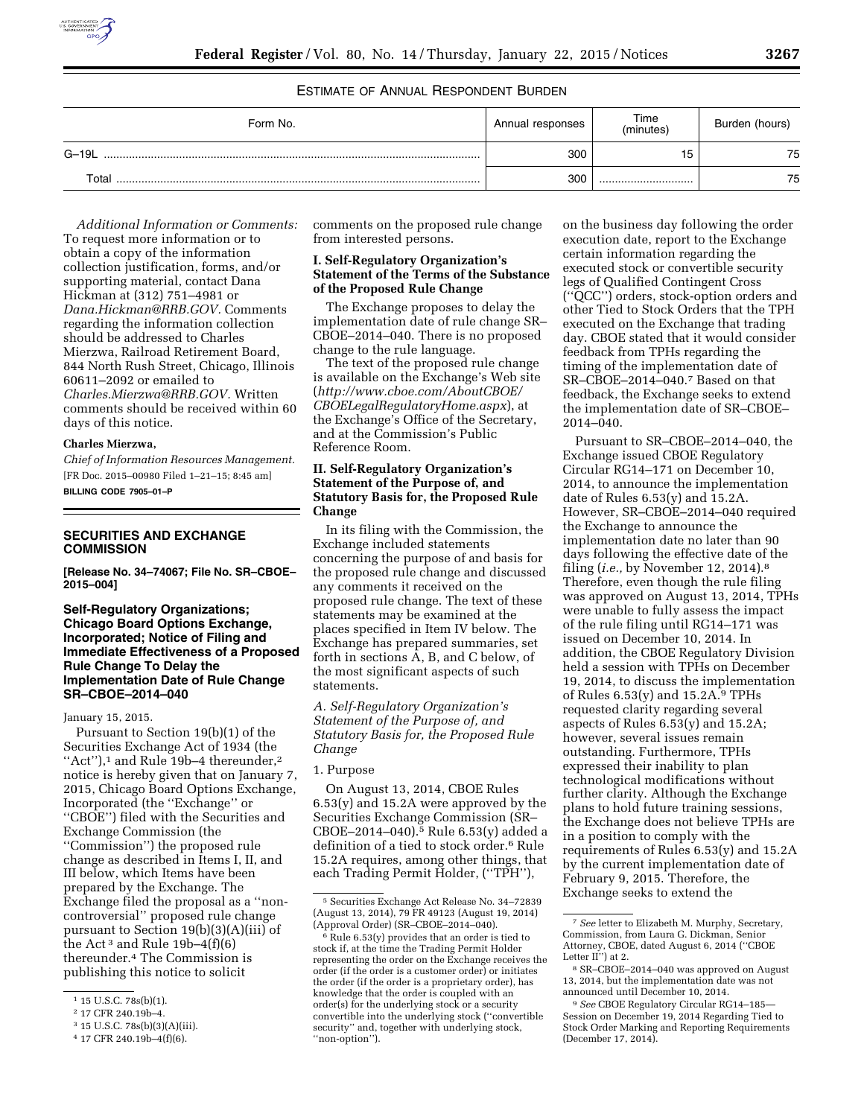

## ESTIMATE OF ANNUAL RESPONDENT BURDEN

| Form No. | Annual responses | Time<br>(minutes) | Burden (hours) |
|----------|------------------|-------------------|----------------|
| $G-19l$  | 300              | 15                | 75             |
| Total    | 300              |                   | 75             |

*Additional Information or Comments:*  To request more information or to obtain a copy of the information collection justification, forms, and/or supporting material, contact Dana Hickman at (312) 751–4981 or *[Dana.Hickman@RRB.GOV.](mailto:Dana.Hickman@RRB.GOV)* Comments regarding the information collection should be addressed to Charles Mierzwa, Railroad Retirement Board, 844 North Rush Street, Chicago, Illinois 60611–2092 or emailed to *[Charles.Mierzwa@RRB.GOV.](mailto:Charles.Mierzwa@RRB.GOV)* Written comments should be received within 60 days of this notice.

#### **Charles Mierzwa,**

*Chief of Information Resources Management.*  [FR Doc. 2015–00980 Filed 1–21–15; 8:45 am] **BILLING CODE 7905–01–P** 

# **SECURITIES AND EXCHANGE COMMISSION**

**[Release No. 34–74067; File No. SR–CBOE– 2015–004]** 

### **Self-Regulatory Organizations; Chicago Board Options Exchange, Incorporated; Notice of Filing and Immediate Effectiveness of a Proposed Rule Change To Delay the Implementation Date of Rule Change SR–CBOE–2014–040**

#### January 15, 2015.

Pursuant to Section 19(b)(1) of the Securities Exchange Act of 1934 (the "Act"),<sup>1</sup> and Rule 19b-4 thereunder,<sup>2</sup> notice is hereby given that on January 7, 2015, Chicago Board Options Exchange, Incorporated (the ''Exchange'' or ''CBOE'') filed with the Securities and Exchange Commission (the ''Commission'') the proposed rule change as described in Items I, II, and III below, which Items have been prepared by the Exchange. The Exchange filed the proposal as a ''noncontroversial'' proposed rule change pursuant to Section 19(b)(3)(A)(iii) of the Act<sup>3</sup> and Rule 19b–4 $(f)(6)$ thereunder.4 The Commission is publishing this notice to solicit

comments on the proposed rule change from interested persons.

### **I. Self-Regulatory Organization's Statement of the Terms of the Substance of the Proposed Rule Change**

The Exchange proposes to delay the implementation date of rule change SR– CBOE–2014–040. There is no proposed change to the rule language.

The text of the proposed rule change is available on the Exchange's Web site (*[http://www.cboe.com/AboutCBOE/](http://www.cboe.com/AboutCBOE/CBOELegalRegulatoryHome.aspx) [CBOELegalRegulatoryHome.aspx](http://www.cboe.com/AboutCBOE/CBOELegalRegulatoryHome.aspx)*), at the Exchange's Office of the Secretary, and at the Commission's Public Reference Room.

# **II. Self-Regulatory Organization's Statement of the Purpose of, and Statutory Basis for, the Proposed Rule Change**

In its filing with the Commission, the Exchange included statements concerning the purpose of and basis for the proposed rule change and discussed any comments it received on the proposed rule change. The text of these statements may be examined at the places specified in Item IV below. The Exchange has prepared summaries, set forth in sections A, B, and C below, of the most significant aspects of such statements.

*A. Self-Regulatory Organization's Statement of the Purpose of, and Statutory Basis for, the Proposed Rule Change* 

#### 1. Purpose

On August 13, 2014, CBOE Rules 6.53(y) and 15.2A were approved by the Securities Exchange Commission (SR– CBOE-2014-040).<sup>5</sup> Rule 6.53(y) added a definition of a tied to stock order.<sup>6</sup> Rule 15.2A requires, among other things, that each Trading Permit Holder, (''TPH''),

on the business day following the order execution date, report to the Exchange certain information regarding the executed stock or convertible security legs of Qualified Contingent Cross (''QCC'') orders, stock-option orders and other Tied to Stock Orders that the TPH executed on the Exchange that trading day. CBOE stated that it would consider feedback from TPHs regarding the timing of the implementation date of SR–CBOE–2014–040.7 Based on that feedback, the Exchange seeks to extend the implementation date of SR–CBOE– 2014–040.

Pursuant to SR–CBOE–2014–040, the Exchange issued CBOE Regulatory Circular RG14–171 on December 10, 2014, to announce the implementation date of Rules 6.53(y) and 15.2A. However, SR–CBOE–2014–040 required the Exchange to announce the implementation date no later than 90 days following the effective date of the filing (*i.e.,* by November 12, 2014).8 Therefore, even though the rule filing was approved on August 13, 2014, TPHs were unable to fully assess the impact of the rule filing until RG14–171 was issued on December 10, 2014. In addition, the CBOE Regulatory Division held a session with TPHs on December 19, 2014, to discuss the implementation of Rules  $6.53(y)$  and  $15.2A$ .<sup>9</sup> TPHs requested clarity regarding several aspects of Rules 6.53(y) and 15.2A; however, several issues remain outstanding. Furthermore, TPHs expressed their inability to plan technological modifications without further clarity. Although the Exchange plans to hold future training sessions, the Exchange does not believe TPHs are in a position to comply with the requirements of Rules 6.53(y) and 15.2A by the current implementation date of February 9, 2015. Therefore, the Exchange seeks to extend the

<sup>1</sup> 15 U.S.C. 78s(b)(1).

<sup>2</sup> 17 CFR 240.19b–4.

<sup>3</sup> 15 U.S.C. 78s(b)(3)(A)(iii).

<sup>4</sup> 17 CFR 240.19b–4(f)(6).

<sup>5</sup> Securities Exchange Act Release No. 34–72839 (August 13, 2014), 79 FR 49123 (August 19, 2014) (Approval Order) (SR–CBOE–2014–040).

<sup>6</sup> Rule 6.53(y) provides that an order is tied to stock if, at the time the Trading Permit Holder representing the order on the Exchange receives the order (if the order is a customer order) or initiates the order (if the order is a proprietary order), has knowledge that the order is coupled with an order(s) for the underlying stock or a security convertible into the underlying stock (''convertible security'' and, together with underlying stock, "non-option").

<sup>7</sup> *See* letter to Elizabeth M. Murphy, Secretary, Commission, from Laura G. Dickman, Senior Attorney, CBOE, dated August 6, 2014 (''CBOE Letter II") at 2.

<sup>8</sup> SR–CBOE–2014–040 was approved on August 13, 2014, but the implementation date was not announced until December 10, 2014.

<sup>9</sup> *See* CBOE Regulatory Circular RG14–185— Session on December 19, 2014 Regarding Tied to Stock Order Marking and Reporting Requirements (December 17, 2014).